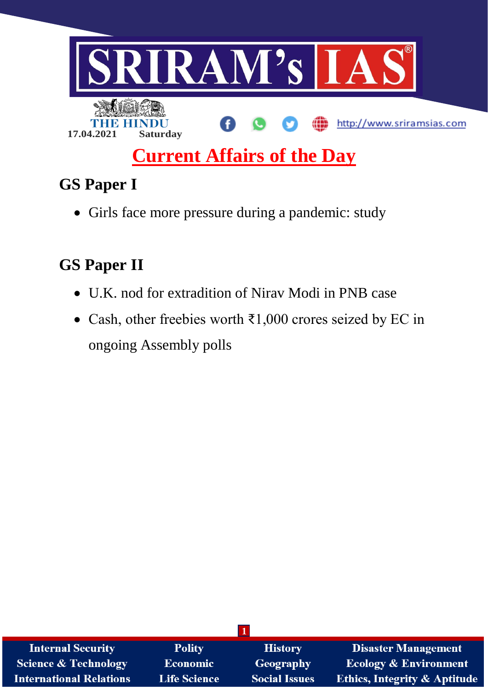

# **Current Affairs of the Day**

## **GS Paper I**

• Girls face more pressure during a pandemic: study

### **GS Paper II**

- U.K. nod for extradition of Nirav Modi in PNB case
- Cash, other freebies worth ₹1,000 crores seized by EC in ongoing Assembly polls

| <b>Internal Security</b>       | <b>Polity</b>       | <b>History</b>       | <b>Disaster Management</b>              |
|--------------------------------|---------------------|----------------------|-----------------------------------------|
| Science & Technology           | <b>Economic</b>     | Geography            | <b>Ecology &amp; Environment</b>        |
| <b>International Relations</b> | <b>Life Science</b> | <b>Social Issues</b> | <b>Ethics, Integrity &amp; Aptitude</b> |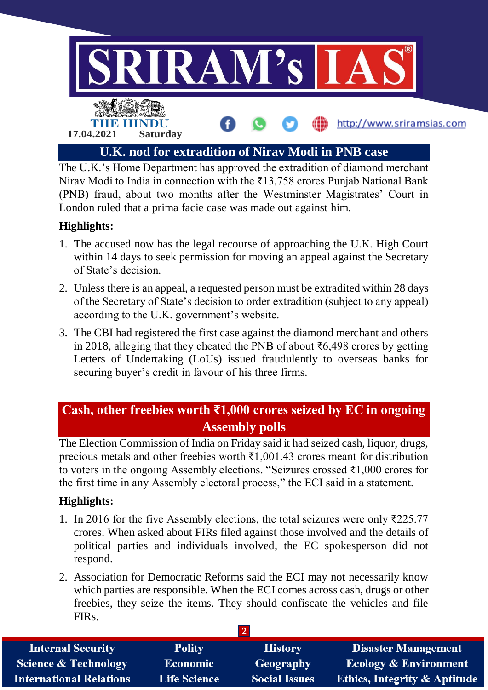

The U.K.'s Home Department has approved the extradition of diamond merchant Nirav Modi to India in connection with the ₹13,758 crores Punjab National Bank (PNB) fraud, about two months after the Westminster Magistrates' Court in London ruled that a prima facie case was made out against him.

#### **Highlights:**

- 1. The accused now has the legal recourse of approaching the U.K. High Court within 14 days to seek permission for moving an appeal against the Secretary of State's decision.
- 2. Unless there is an appeal, a requested person must be extradited within 28 days of the Secretary of State's decision to order extradition (subject to any appeal) according to the U.K. government's website.
- 3. The CBI had registered the first case against the diamond merchant and others in 2018, alleging that they cheated the PNB of about ₹6,498 crores by getting Letters of Undertaking (LoUs) issued fraudulently to overseas banks for securing buyer's credit in favour of his three firms.

### **Cash, other freebies worth ₹1,000 crores seized by EC in ongoing Assembly polls**

The Election Commission of India on Friday said it had seized cash, liquor, drugs, precious metals and other freebies worth ₹1,001.43 crores meant for distribution to voters in the ongoing Assembly elections. "Seizures crossed ₹1,000 crores for the first time in any Assembly electoral process," the ECI said in a statement.

#### **Highlights:**

- 1. In 2016 for the five Assembly elections, the total seizures were only ₹225.77 crores. When asked about FIRs filed against those involved and the details of political parties and individuals involved, the EC spokesperson did not respond.
- 2. Association for Democratic Reforms said the ECI may not necessarily know which parties are responsible. When the ECI comes across cash, drugs or other freebies, they seize the items. They should confiscate the vehicles and file FIRs.

| <b>Internal Security</b>        | <b>Polity</b>       | <b>History</b>       | <b>Disaster Management</b>              |  |  |
|---------------------------------|---------------------|----------------------|-----------------------------------------|--|--|
| <b>Science &amp; Technology</b> | <b>Economic</b>     | Geography            | <b>Ecology &amp; Environment</b>        |  |  |
| <b>International Relations</b>  | <b>Life Science</b> | <b>Social Issues</b> | <b>Ethics, Integrity &amp; Aptitude</b> |  |  |